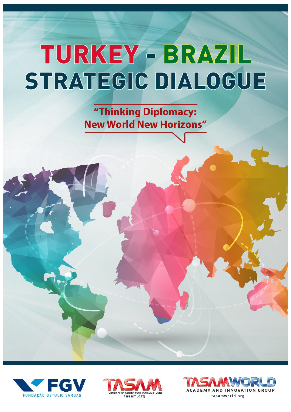"Thinking Diplomacy: **New World New Horizons"** 





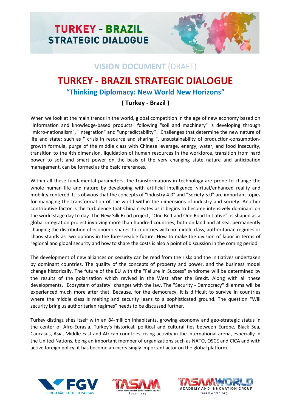

### **VISION DOCUMENT** (DRAFT)

## **TURKEY - BRAZIL STRATEGIC DIALOGUE**

### **"Thinking Diplomacy: New World New Horizons"**

### **( Turkey - Brazil )**

When we look at the main trends in the world, global competition in the age of new economy based on "information and knowledge-based products" following "soil and machinery" is developing through "micro-nationalism", "integration" and "unpredictability''. Challenges that determine the new nature of life and state; such as " crisis in resource and sharing ", unsustainability of production-consumptiongrowth formula, purge of the middle class with Chinese leverage, energy, water, and food insecurity, transition to the 4th dimension, liquidation of human resources in the workforce, transition from hard power to soft and smart power on the basis of the very changing state nature and anticipation management, can be formed as the basic references.

Within all these fundamental parameters, the transformations in technology are prone to change the whole human life and nature by developing with artificial intelligence, virtual/enhanced reality and mobility centered. It is obvious that the concepts of "Industry 4.0" and "Society 5.0" are important topics for managing the transformation of the world within the dimensions of industry and society. Another contributive factor is the turbulence that China creates as it begins to become intensively dominant on the world stage day to day. The New Silk Road project, "One Belt and One Road Initiative"; is shaped as a global integration project involving more than hundred countries, both on land and at sea, permanently changing the distribution of economic shares. In countries with no middle class, authoritarian regimes or chaos stands as two options in the fore-seeable future. How to make the division of labor in terms of regional and global security and how to share the costs is also a point of discussion in the coming period.

The development of new alliances on security can be read from the risks and the initiatives undertaken by dominant countries. The quality of the concepts of property and power, and the business model change historically. The future of the EU with the "Failure in Success" syndrome will be determined by the results of the polarization which revived in the West after the Brexit. Along with all these developments, "Ecosystem of safety" changes with the law. The "Security - Democracy" dilemma will be experienced much more after that. Because, for the democracy, it is difficult to survive in countries where the middle class is melting and security leans to a sophisticated ground. The question "Will security bring us authoritarian regimes" needs to be discussed further.

Turkey distinguishes itself with an 84-million inhabitants, growing economy and geo-strategic status in the center of Afro-Eurasia. Turkey's historical, political and cultural ties between Europe, Black Sea, Caucasus, Asia, Middle East and African countries, rising activity in the international arena, especially in the United Nations, being an important member of organizations such as NATO, OSCE and CICA and with active foreign policy, it has become an increasingly important actor on the global platform.





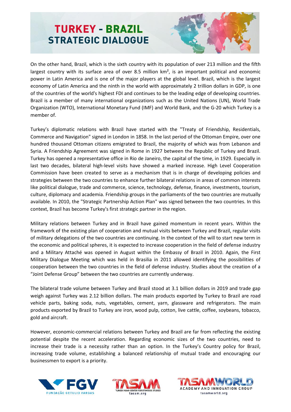

On the other hand, Brazil, which is the sixth country with its population of over 213 million and the fifth largest country with its surface area of over 8.5 million km<sup>2</sup>, is an important political and economic power in Latin America and is one of the major players at the global level. Brazil, which is the largest economy of Latin America and the ninth in the world with approximately 2 trillion dollars in GDP, is one of the countries of the world's highest FDI and continues to be the leading edge of developing countries. Brazil is a member of many international organizations such as the United Nations (UN), World Trade Organization (WTO), International Monetary Fund (IMF) and World Bank, and the G-20 which Turkey is a member of.

Turkey's diplomatic relations with Brazil have started with the "Treaty of Friendship, Residentials, Commerce and Navigation" signed in London in 1858. In the last period of the Ottoman Empire, over one hundred thousand Ottoman citizens emigrated to Brazil, the majority of which was from Lebanon and Syria. A Friendship Agreement was signed in Rome in 1927 between the Republic of Turkey and Brazil. Turkey has opened a representative office in Rio de Janeiro, the capital of the time, in 1929. Especially in last two decades, bilateral high-level visits have showed a marked increase. High Level Cooperation Commission have been created to serve as a mechanism that is in charge of developing policies and strategies between the two countries to enhance further bilateral relations in areas of common interests like political dialogue, trade and commerce, science, technology, defense, finance, investments, tourism, culture, diplomacy and academia. Friendship groups in the parliaments of the two countries are mutually available. In 2010, the "Strategic Partnership Action Plan" was signed between the two countries. In this context, Brazil has become Turkey's first strategic partner in the region.

Military relations between Turkey and in Brazil have gained momentum in recent years. Within the framework of the existing plan of cooperation and mutual visits between Turkey and Brazil, regular visits of military delegations of the two countries are continuing. In the context of the will to start new term in the economic and political spheres, it is expected to increase cooperation in the field of defense industry and a Military Attaché was opened in August within the Embassy of Brazil in 2010. Again, the First Military Dialogue Meeting which was held in Brasilia in 2011 allowed identifying the possibilities of cooperation between the two countries in the field of defense industry. Studies about the creation of a "Joint Defense Group" between the two countries are currently underway.

The bilateral trade volume between Turkey and Brazil stood at 3.1 billion dollars in 2019 and trade gap weigh against Turkey was 2.12 billion dollars. The main products exported by Turkey to Brazil are road vehicle parts, baking soda, nuts, vegetables, cement, yarn, glassware and refrigerators. The main products exported by Brazil to Turkey are iron, wood pulp, cotton, live cattle, coffee, soybeans, tobacco, gold and aircraft.

However, economic-commercial relations between Turkey and Brazil are far from reflecting the existing potential despite the recent acceleration. Regarding economic sizes of the two countries, need to increase their trade is a necessity rather than an option. In the Turkey's Country policy for Brazil, increasing trade volume, establishing a balanced relationship of mutual trade and encouraging our businessmen to export is a priority.





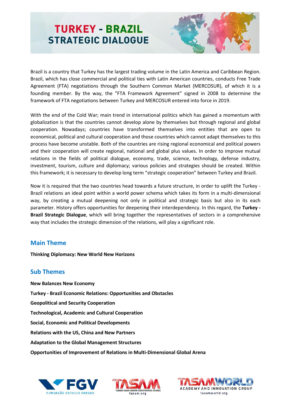

Brazil is a country that Turkey has the largest trading volume in the Latin America and Caribbean Region. Brazil, which has close commercial and political ties with Latin American countries, conducts Free Trade Agreement (FTA) negotiations through the Southern Common Market (MERCOSUR), of which it is a founding member. By the way, the "FTA Framework Agreement" signed in 2008 to determine the framework of FTA negotiations between Turkey and MERCOSUR entered into force in 2019.

With the end of the Cold War; main trend in international politics which has gained a momentum with globalization is that the countries cannot develop alone by themselves but through regional and global cooperation. Nowadays; countries have transformed themselves into entities that are open to economical, political and cultural cooperation and those countries which cannot adapt themselves to this process have become unstable. Both of the countries are rising regional economical and political powers and their cooperation will create regional, national and global plus values. In order to improve mutual relations in the fields of political dialogue, economy, trade, science, technology, defense industry, investment, tourism, culture and diplomacy; various policies and strategies should be created. Within this framework; it is necessary to develop long term "strategic cooperation" between Turkey and Brazil.

Now it is required that the two countries head towards a future structure, in order to uplift the Turkey - Brazil relations an ideal point within a world power schema which takes its form in a multi-dimensional way, by creating a mutual deepening not only in political and strategic basis but also in its each parameter. History offers opportunities for deepening their interdependency. In this regard, the **Turkey - Brazil Strategic Dialogue**, which will bring together the representatives of sectors in a comprehensive way that includes the strategic dimension of the relations, will play a significant role.

### **Main Theme**

**Thinking Diplomacy: New World New Horizons**

### **Sub Themes**

**New Balances New Economy Turkey - Brazil Economic Relations: Opportunities and Obstacles Geopolitical and Security Cooperation Technological, Academic and Cultural Cooperation Social, Economic and Political Developments Relations with the US, China and New Partners Adaptation to the Global Management Structures Opportunities of Improvement of Relations in Multi-Dimensional Global Arena** 





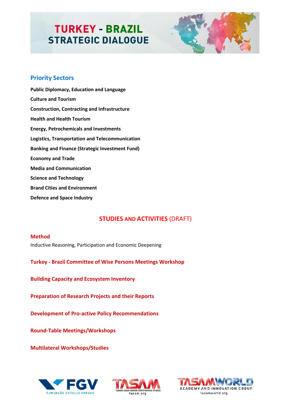

### **Priority Sectors**

**Public Diplomacy, Education and Language Culture and Tourism Construction, Contracting and Infrastructure Health and Health Tourism Energy, Petrochemicals and Investments Logistics, Transportation and Telecommunication Banking and Finance (Strategic Investment Fund) Economy and Trade Media and Communication Science and Technology Brand Cities and Environment Defence and Space Industry**

### **STUDIES AND ACTIVITIES** (DRAFT)

#### **Method**

Inductive Reasoning, Participation and Economic Deepening

**Turkey - Brazil Committee of Wise Persons Meetings Workshop**

**Building Capacity and Ecosystem Inventory**

**Preparation of Research Projects and their Reports**

**Development of Pro-active Policy Recommendations** 

**Round-Table Meetings/Workshops**

**Multilateral Workshops/Studies**